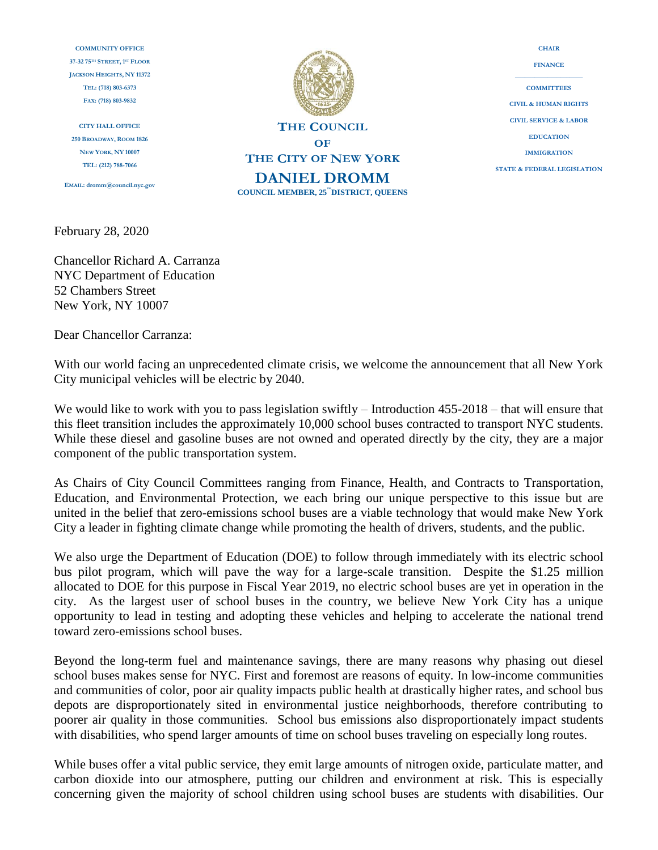**COMMUNITY OFFICE 37-32 75TH STREET, 1 ST FLOOR JACKSON HEIGHTS, NY 11372 TEL: (718) 803-6373 FAX: (718) 803-9832**

**CITY HALL OFFICE 250 BROADWAY, ROOM 1826 NEW YORK, NY 10007 TEL: (212) 788-7066**

**EMAIL: dromm@council.nyc.gov**

**THE COUNCIL OF THE CITY OF NEW YORK DANIEL DROMM**  $COUNCIL MEMBER, 25<sup>'''</sup> DISTRICT, QUESTICS$ 

**FINANCE \_\_\_\_\_\_\_\_\_\_\_\_\_\_\_\_\_\_\_\_\_ COMMITTEES CIVIL & HUMAN RIGHTS CIVIL SERVICE & LABOR EDUCATION IMMIGRATION STATE & FEDERAL LEGISLATION**

**CHAIR**

February 28, 2020

Chancellor Richard A. Carranza NYC Department of Education 52 Chambers Street New York, NY 10007

Dear Chancellor Carranza:

With our world facing an unprecedented climate crisis, we welcome the announcement that all New York City municipal vehicles will be electric by 2040.

We would like to work with you to pass legislation swiftly – Introduction 455-2018 – that will ensure that this fleet transition includes the approximately 10,000 school buses contracted to transport NYC students. While these diesel and gasoline buses are not owned and operated directly by the city, they are a major component of the public transportation system.

As Chairs of City Council Committees ranging from Finance, Health, and Contracts to Transportation, Education, and Environmental Protection, we each bring our unique perspective to this issue but are united in the belief that zero-emissions school buses are a viable technology that would make New York City a leader in fighting climate change while promoting the health of drivers, students, and the public.

We also urge the Department of Education (DOE) to follow through immediately with its electric school bus pilot program, which will pave the way for a large-scale transition. Despite the \$1.25 million allocated to DOE for this purpose in Fiscal Year 2019, no electric school buses are yet in operation in the city. As the largest user of school buses in the country, we believe New York City has a unique opportunity to lead in testing and adopting these vehicles and helping to accelerate the national trend toward zero-emissions school buses.

Beyond the long-term fuel and maintenance savings, there are many reasons why phasing out diesel school buses makes sense for NYC. First and foremost are reasons of equity. In low-income communities and communities of color, poor air quality impacts public health at drastically higher rates, and school bus depots are disproportionately sited in environmental justice neighborhoods, therefore contributing to poorer air quality in those communities. School bus emissions also disproportionately impact students with disabilities, who spend larger amounts of time on school buses traveling on especially long routes.

While buses offer a vital public service, they emit large amounts of nitrogen oxide, particulate matter, and carbon dioxide into our atmosphere, putting our children and environment at risk. This is especially concerning given the majority of school children using school buses are students with disabilities. Our